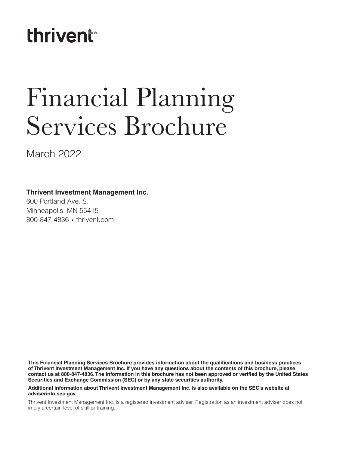## **thrivent**<sup>®</sup>

# Financial Planning Services Brochure

March 2022

#### **Thrivent Investment Management Inc.**

600 Portland Ave. S. Minneapolis, MN 55415 800-847-4836 • thrivent.com

**This Financial Planning Services Brochure provides information about the qualifications and business practices of Thrivent Investment Management Inc. If you have any questions about the contents of this brochure, please contact us at 800-847-4836. The information in this brochure has not been approved or verified by the United States Securities and Exchange Commission (SEC) or by any state securities authority.**

**Additional information about Thrivent Investment Management Inc. is also available on the SEC's website at adviserinfo.sec.gov.**

Thrivent Investment Management Inc. is a registered investment adviser. Registration as an investment adviser does not imply a certain level of skill or training.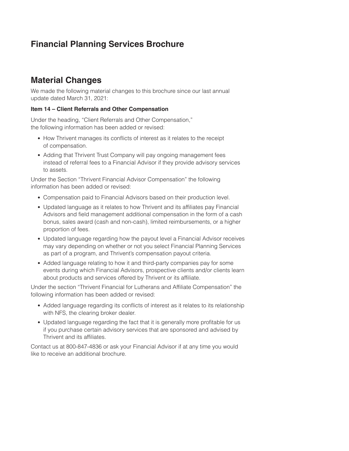## **Financial Planning Services Brochure**

## **Material Changes**

We made the following material changes to this brochure since our last annual update dated March 31, 2021:

#### **Item 14 – Client Referrals and Other Compensation**

Under the heading, "Client Referrals and Other Compensation," the following information has been added or revised:

- How Thrivent manages its conflicts of interest as it relates to the receipt of compensation.
- Adding that Thrivent Trust Company will pay ongoing management fees instead of referral fees to a Financial Advisor if they provide advisory services to assets.

Under the Section "Thrivent Financial Advisor Compensation" the following information has been added or revised:

- Compensation paid to Financial Advisors based on their production level.
- Updated language as it relates to how Thrivent and its affiliates pay Financial Advisors and field management additional compensation in the form of a cash bonus, sales award (cash and non-cash), limited reimbursements, or a higher proportion of fees.
- Updated language regarding how the payout level a Financial Advisor receives may vary depending on whether or not you select Financial Planning Services as part of a program, and Thrivent's compensation payout criteria.
- Added language relating to how it and third-party companies pay for some events during which Financial Advisors, prospective clients and/or clients learn about products and services offered by Thrivent or its affiliate.

Under the section "Thrivent Financial for Lutherans and Affiliate Compensation" the following information has been added or revised:

- Added language regarding its conflicts of interest as it relates to its relationship with NFS, the clearing broker dealer.
- Updated language regarding the fact that it is generally more profitable for us if you purchase certain advisory services that are sponsored and advised by Thrivent and its affiliates.

Contact us at 800-847-4836 or ask your Financial Advisor if at any time you would like to receive an additional brochure.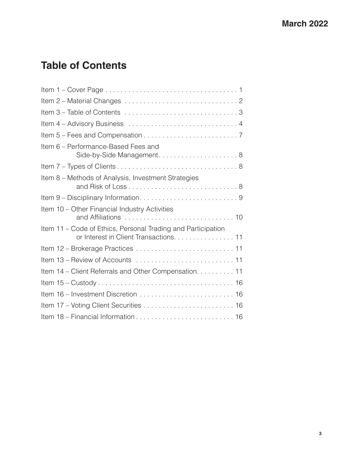## **Table of Contents**

| Item 6 – Performance-Based Fees and                                                                    |
|--------------------------------------------------------------------------------------------------------|
|                                                                                                        |
| Item 8 – Methods of Analysis, Investment Strategies                                                    |
|                                                                                                        |
| Item 10 - Other Financial Industry Activities                                                          |
| Item 11 - Code of Ethics, Personal Trading and Participation<br>or Interest in Client Transactions. 11 |
|                                                                                                        |
| Item 13 - Review of Accounts  11                                                                       |
|                                                                                                        |
| Item 14 – Client Referrals and Other Compensation. 11                                                  |
|                                                                                                        |
|                                                                                                        |
|                                                                                                        |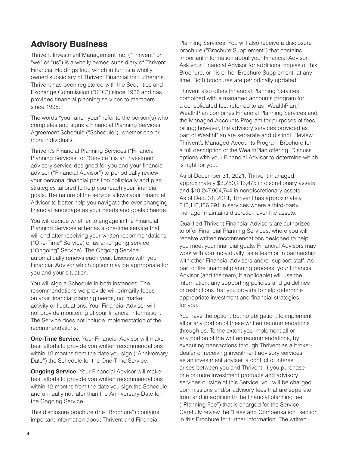## **Advisory Business**

Thrivent Investment Management Inc. ("Thrivent" or "we" or "us") is a wholly owned subsidiary of Thrivent Financial Holdings Inc., which in turn is a wholly owned subsidiary of Thrivent Financial for Lutherans. Thrivent has been registered with the Securities and Exchange Commission ("SEC") since 1986 and has provided financial planning services to members since 1998.

The words "you" and "your" refer to the person(s) who completes and signs a Financial Planning Services Agreement Schedule ("Schedule"), whether one or more individuals.

Thrivent's Financial Planning Services ("Financial Planning Services" or "Service") is an investment advisory service designed for you and your financial advisor ("Financial Advisor") to periodically review your personal financial position holistically and plan strategies tailored to help you reach your financial goals. The nature of the service allows your Financial Advisor to better help you navigate the ever-changing financial landscape as your needs and goals change.

You will decide whether to engage in the Financial Planning Services either as a one-time service that will end after receiving your written recommendations ("One-Time" Service) or as an ongoing service ("Ongoing" Service). The Ongoing Service automatically renews each year. Discuss with your Financial Advisor which option may be appropriate for you and your situation.

You will sign a Schedule in both instances. The recommendations we provide will primarily focus on your financial planning needs, not market activity or fluctuations. Your Financial Advisor will not provide monitoring of your financial information. The Service does not include implementation of the recommendations.

**One-Time Service.** Your Financial Advisor will make best efforts to provide you written recommendations within 12 months from the date you sign ("Anniversary Date") the Schedule for the One-Time Service.

**Ongoing Service.** Your Financial Advisor will make best efforts to provide you written recommendations within 12 months from the date you sign the Schedule and annually not later than the Anniversary Date for the Ongoing Service.

This disclosure brochure (the "Brochure") contains important information about Thrivent and Financial

Planning Services. You will also receive a disclosure brochure ("Brochure Supplement") that contains important information about your Financial Advisor. Ask your Financial Advisor for additional copies of this Brochure, or his or her Brochure Supplement, at any time. Both brochures are periodically updated.

Thrivent also offers Financial Planning Services combined with a managed accounts program for a consolidated fee, referred to as "WealthPlan." WealthPlan combines Financial Planning Services and the Managed Accounts Program for purposes of fees billing; however, the advisory services provided as part of WealthPlan are separate and distinct. Review Thrivent's Managed Accounts Program Brochure for a full description of the WealthPlan offering. Discuss options with your Financial Advisor to determine which is right for you.

As of December 31, 2021, Thrivent managed approximately \$3,250,213,475 in discretionary assets and \$10,247,904,744 in nondiscretionary assets. As of Dec. 31, 2021, Thrivent has approximately \$10,116,186,691 in services where a third-party manager maintains discretion over the assets.

Qualified Thrivent Financial Advisors are authorized to offer Financial Planning Services, where you will receive written recommendations designed to help you meet your financial goals. Financial Advisors may work with you individually, as a team or in partnership with other Financial Advisors and/or support staff. As part of the financial planning process, your Financial Advisor (and the team, if applicable) will use the information, any supporting policies and guidelines or restrictions that you provide to help determine appropriate investment and financial strategies for you.

You have the option, but no obligation, to implement all or any portion of these written recommendations through us. To the extent you implement all or any portion of the written recommendations, by executing transactions through Thrivent as a brokerdealer or receiving investment advisory services as an investment adviser, a conflict of interest arises between you and Thrivent. If you purchase one or more investment products and advisory services outside of this Service, you will be charged commissions and/or advisory fees that are separate from and in addition to the financial planning fee ("Planning Fee") that is charged for the Service. Carefully review the "Fees and Compensation" section in this Brochure for further information. The written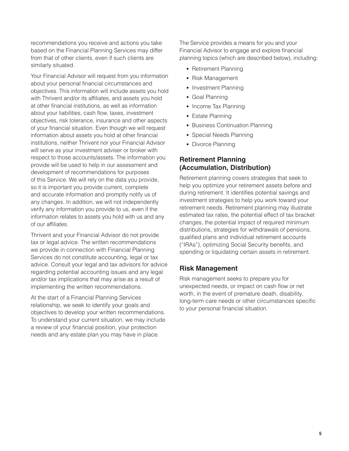recommendations you receive and actions you take based on the Financial Planning Services may differ from that of other clients, even if such clients are similarly situated.

Your Financial Advisor will request from you information about your personal financial circumstances and objectives. This information will include assets you hold with Thrivent and/or its affiliates, and assets you hold at other financial institutions, as well as information about your liabilities, cash flow, taxes, investment objectives, risk tolerance, insurance and other aspects of your financial situation. Even though we will request information about assets you hold at other financial institutions, neither Thrivent nor your Financial Advisor will serve as your investment adviser or broker with respect to those accounts/assets. The information you provide will be used to help in our assessment and development of recommendations for purposes of this Service. We will rely on the data you provide, so it is important you provide current, complete and accurate information and promptly notify us of any changes. In addition, we will not independently verify any information you provide to us, even if the information relates to assets you hold with us and any of our affiliates.

Thrivent and your Financial Advisor do not provide tax or legal advice. The written recommendations we provide in connection with Financial Planning Services do not constitute accounting, legal or tax advice. Consult your legal and tax advisors for advice regarding potential accounting issues and any legal and/or tax implications that may arise as a result of implementing the written recommendations.

At the start of a Financial Planning Services relationship, we seek to identify your goals and objectives to develop your written recommendations. To understand your current situation, we may include a review of your financial position, your protection needs and any estate plan you may have in place.

The Service provides a means for you and your Financial Advisor to engage and explore financial planning topics (which are described below), including:

- Retirement Planning
- Risk Management
- Investment Planning
- Goal Planning
- Income Tax Planning
- Estate Planning
- Business Continuation Planning
- Special Needs Planning
- Divorce Planning

## **Retirement Planning (Accumulation, Distribution)**

Retirement planning covers strategies that seek to help you optimize your retirement assets before and during retirement. It identifies potential savings and investment strategies to help you work toward your retirement needs. Retirement planning may illustrate estimated tax rates, the potential effect of tax bracket changes, the potential impact of required minimum distributions, strategies for withdrawals of pensions, qualified plans and individual retirement accounts ("IRAs"), optimizing Social Security benefits, and spending or liquidating certain assets in retirement.

#### **Risk Management**

Risk management seeks to prepare you for unexpected needs, or impact on cash flow or net worth, in the event of premature death, disability, long-term care needs or other circumstances specific to your personal financial situation.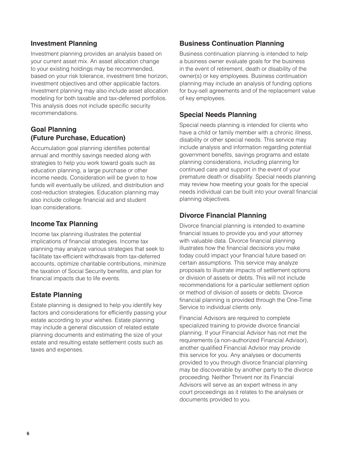#### **Investment Planning**

Investment planning provides an analysis based on your current asset mix. An asset allocation change to your existing holdings may be recommended, based on your risk tolerance, investment time horizon, investment objectives and other applicable factors. Investment planning may also include asset allocation modeling for both taxable and tax-deferred portfolios. This analysis does not include specific security recommendations.

#### **Goal Planning (Future Purchase, Education)**

Accumulation goal planning identifies potential annual and monthly savings needed along with strategies to help you work toward goals such as education planning, a large purchase or other income needs. Consideration will be given to how funds will eventually be utilized, and distribution and cost-reduction strategies. Education planning may also include college financial aid and student loan considerations.

#### **Income Tax Planning**

Income tax planning illustrates the potential implications of financial strategies. Income tax planning may analyze various strategies that seek to facilitate tax-efficient withdrawals from tax-deferred accounts, optimize charitable contributions, minimize the taxation of Social Security benefits, and plan for financial impacts due to life events.

#### **Estate Planning**

Estate planning is designed to help you identify key factors and considerations for efficiently passing your estate according to your wishes. Estate planning may include a general discussion of related estate planning documents and estimating the size of your estate and resulting estate settlement costs such as taxes and expenses.

#### **Business Continuation Planning**

Business continuation planning is intended to help a business owner evaluate goals for the business in the event of retirement, death or disability of the owner(s) or key employees. Business continuation planning may include an analysis of funding options for buy-sell agreements and of the replacement value of key employees.

#### **Special Needs Planning**

Special needs planning is intended for clients who have a child or family member with a chronic illness, disability or other special needs. This service may include analysis and information regarding potential government benefits, savings programs and estate planning considerations, including planning for continued care and support in the event of your premature death or disability. Special needs planning may review how meeting your goals for the special needs individual can be built into your overall financial planning objectives.

## **Divorce Financial Planning**

Divorce financial planning is intended to examine financial issues to provide you and your attorney with valuable data. Divorce financial planning illustrates how the financial decisions you make today could impact your financial future based on certain assumptions. This service may analyze proposals to illustrate impacts of settlement options or division of assets or debts. This will not include recommendations for a particular settlement option or method of division of assets or debts. Divorce financial planning is provided through the One-Time Service to individual clients only.

Financial Advisors are required to complete specialized training to provide divorce financial planning. If your Financial Advisor has not met the requirements (a non-authorized Financial Advisor), another qualified Financial Advisor may provide this service for you. Any analyses or documents provided to you through divorce financial planning may be discoverable by another party to the divorce proceeding. Neither Thrivent nor its Financial Advisors will serve as an expert witness in any court proceedings as it relates to the analyses or documents provided to you.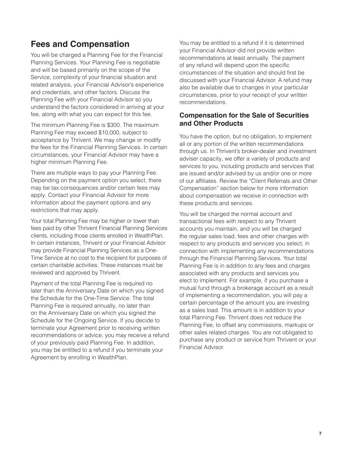## **Fees and Compensation**

You will be charged a Planning Fee for the Financial Planning Services. Your Planning Fee is negotiable and will be based primarily on the scope of the Service, complexity of your financial situation and related analysis, your Financial Advisor's experience and credentials, and other factors. Discuss the Planning Fee with your Financial Advisor so you understand the factors considered in arriving at your fee, along with what you can expect for this fee.

The minimum Planning Fee is \$300. The maximum Planning Fee may exceed \$10,000, subject to acceptance by Thrivent. We may change or modify the fees for the Financial Planning Services. In certain circumstances, your Financial Advisor may have a higher minimum Planning Fee.

There are multiple ways to pay your Planning Fee. Depending on the payment option you select, there may be tax consequences and/or certain fees may apply. Contact your Financial Advisor for more information about the payment options and any restrictions that may apply.

Your total Planning Fee may be higher or lower than fees paid by other Thrivent Financial Planning Services clients, including those clients enrolled in WealthPlan. In certain instances, Thrivent or your Financial Advisor may provide Financial Planning Services as a One-Time Service at no cost to the recipient for purposes of certain charitable activities. These instances must be reviewed and approved by Thrivent.

Payment of the total Planning Fee is required no later than the Anniversary Date on which you signed the Schedule for the One-Time Service. The total Planning Fee is required annually, no later than on the Anniversary Date on which you signed the Schedule for the Ongoing Service. If you decide to terminate your Agreement prior to receiving written recommendations or advice, you may receive a refund of your previously paid Planning Fee. In addition, you may be entitled to a refund if you terminate your Agreement by enrolling in WealthPlan.

You may be entitled to a refund if it is determined your Financial Advisor did not provide written recommendations at least annually. The payment of any refund will depend upon the specific circumstances of the situation and should first be discussed with your Financial Advisor. A refund may also be available due to changes in your particular circumstances, prior to your receipt of your written recommendations.

#### **Compensation for the Sale of Securities and Other Products**

You have the option, but no obligation, to implement all or any portion of the written recommendations through us. In Thrivent's broker-dealer and investment adviser capacity, we offer a variety of products and services to you, including products and services that are issued and/or advised by us and/or one or more of our affiliates. Review the "Client Referrals and Other Compensation" section below for more information about compensation we receive in connection with these products and services.

You will be charged the normal account and transactional fees with respect to any Thrivent accounts you maintain, and you will be charged the regular sales load, fees and other charges with respect to any products and services you select, in connection with implementing any recommendations through the Financial Planning Services. Your total Planning Fee is in addition to any fees and charges associated with any products and services you elect to implement. For example, if you purchase a mutual fund through a brokerage account as a result of implementing a recommendation, you will pay a certain percentage of the amount you are investing as a sales load. This amount is in addition to your total Planning Fee. Thrivent does not reduce the Planning Fee, to offset any commissions, markups or other sales related charges. You are not obligated to purchase any product or service from Thrivent or your Financial Advisor.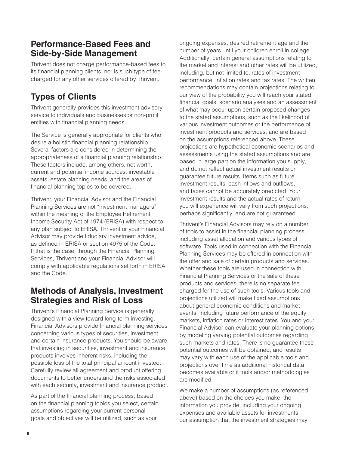## **Performance-Based Fees and Side-by-Side Management**

Thrivent does not charge performance-based fees to its financial planning clients, nor is such type of fee charged for any other services offered by Thrivent.

## **Types of Clients**

Thrivent generally provides this investment advisory service to individuals and businesses or non-profit entities with financial planning needs.

The Service is generally appropriate for clients who desire a holistic financial planning relationship. Several factors are considered in determining the appropriateness of a financial planning relationship. These factors include, among others, net worth, current and potential income sources, investable assets, estate planning needs, and the areas of financial planning topics to be covered.

Thrivent, your Financial Advisor and the Financial Planning Services are not "investment managers" within the meaning of the Employee Retirement Income Security Act of 1974 (ERISA) with respect to any plan subject to ERISA. Thrivent or your Financial Advisor may provide fiduciary investment advice, as defined in ERISA or section 4975 of the Code. If that is the case, through the Financial Planning Services, Thrivent and your Financial Advisor will comply with applicable regulations set forth in ERISA and the Code.

## **Methods of Analysis, Investment Strategies and Risk of Loss**

Thrivent's Financial Planning Service is generally designed with a view toward long-term investing. Financial Advisors provide financial planning services concerning various types of securities, investment and certain insurance products. You should be aware that investing in securities, investment and insurance products involves inherent risks, including the possible loss of the total principal amount invested. Carefully review all agreement and product offering documents to better understand the risks associated with each security, investment and insurance product.

As part of the financial planning process, based on the financial planning topics you select, certain assumptions regarding your current personal goals and objectives will be utilized, such as your

ongoing expenses, desired retirement age and the number of years until your children enroll in college. Additionally, certain general assumptions relating to the market and interest and other rates will be utilized, including, but not limited to, rates of investment performance, inflation rates and tax rates. The written recommendations may contain projections relating to our view of the probability you will reach your stated financial goals, scenario analyses and an assessment of what may occur upon certain proposed changes to the stated assumptions, such as the likelihood of various investment outcomes or the performance of investment products and services, and are based on the assumptions referenced above. These projections are hypothetical economic scenarios and assessments using the stated assumptions and are based in large part on the information you supply, and do not reflect actual investment results or guarantee future results. Items such as future investment results, cash inflows and outflows, and taxes cannot be accurately predicted. Your investment results and the actual rates of return you will experience will vary from such projections, perhaps significantly, and are not guaranteed.

Thrivent's Financial Advisors may rely on a number of tools to assist in the financial planning process, including asset allocation and various types of software. Tools used in connection with the Financial Planning Services may be offered in connection with the offer and sale of certain products and services. Whether these tools are used in connection with Financial Planning Services or the sale of these products and services, there is no separate fee charged for the use of such tools. Various tools and projections utilized will make fixed assumptions about general economic conditions and market events, including future performance of the equity markets, inflation rates or interest rates. You and your Financial Advisor can evaluate your planning options by modeling varying potential outcomes regarding such markets and rates. There is no guarantee these potential outcomes will be obtained, and results may vary with each use of the applicable tools and projections over time as additional historical data becomes available or if tools and/or methodologies are modified.

We make a number of assumptions (as referenced above) based on the choices you make; the information you provide, including your ongoing expenses and available assets for investments; our assumption that the investment strategies may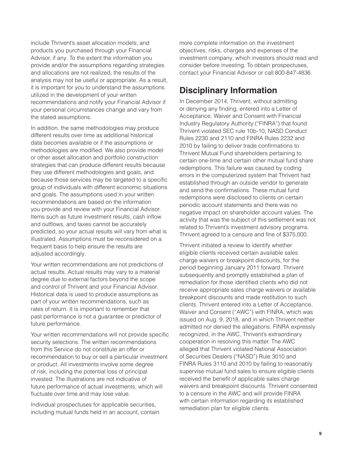include Thrivent's asset allocation models; and products you purchased through your Financial Advisor, if any. To the extent the information you provide and/or the assumptions regarding strategies and allocations are not realized, the results of the analysis may not be useful or appropriate. As a result, it is important for you to understand the assumptions utilized in the development of your written recommendations and notify your Financial Advisor if your personal circumstances change and vary from the stated assumptions.

In addition, the same methodologies may produce different results over time as additional historical data becomes available or if the assumptions or methodologies are modified. We also provide model or other asset allocation and portfolio construction strategies that can produce different results because they use different methodologies and goals, and because those services may be targeted to a specific group of individuals with different economic situations and goals. The assumptions used in your written recommendations are based on the information you provide and review with your Financial Advisor. Items such as future investment results, cash inflow and outflows, and taxes cannot be accurately predicted, so your actual results will vary from what is illustrated. Assumptions must be reconsidered on a frequent basis to help ensure the results are adjusted accordingly.

Your written recommendations are not predictions of actual results. Actual results may vary to a material degree due to external factors beyond the scope and control of Thrivent and your Financial Advisor. Historical data is used to produce assumptions as part of your written recommendations, such as rates of return. It is important to remember that past performance is not a guarantee or predictor of future performance.

Your written recommendations will not provide specific security selections. The written recommendations from this Service do not constitute an offer or recommendation to buy or sell a particular investment or product. All investments involve some degree of risk, including the potential loss of principal invested. The illustrations are not indicative of future performance of actual investments, which will fluctuate over time and may lose value.

Individual prospectuses for applicable securities, including mutual funds held in an account, contain more complete information on the investment objectives, risks, charges and expenses of the investment company, which investors should read and consider before investing. To obtain prospectuses, contact your Financial Advisor or call 800-847-4836.

## **Disciplinary Information**

In December 2014, Thrivent, without admitting or denying any finding, entered into a Letter of Acceptance, Waiver and Consent with Financial Industry Regulatory Authority ("FINRA") that found Thrivent violated SEC rule 10b-10, NASD Conduct Rules 2230 and 2110 and FINRA Rules 2232 and 2010 by failing to deliver trade confirmations to Thrivent Mutual Fund shareholders pertaining to certain one-time and certain other mutual fund share redemptions. This failure was caused by coding errors in the computerized system that Thrivent had established through an outside vendor to generate and send the confirmations. These mutual fund redemptions were disclosed to clients on certain periodic account statements and there was no negative impact on shareholder account values. The activity that was the subject of this settlement was not related to Thrivent's investment advisory programs. Thrivent agreed to a censure and fine of \$375,000.

Thrivent initiated a review to identify whether eligible clients received certain available sales charge waivers or breakpoint discounts, for the period beginning January 2011 forward. Thrivent subsequently and promptly established a plan of remediation for those identified clients who did not receive appropriate sales charge waivers or available breakpoint discounts and made restitution to such clients. Thrivent entered into a Letter of Acceptance, Waiver and Consent ("AWC") with FINRA, which was issued on Aug. 9, 2018, and in which Thrivent neither admitted nor denied the allegations. FINRA expressly recognized, in the AWC, Thrivent's extraordinary cooperation in resolving this matter. The AWC alleged that Thrivent violated National Association of Securities Dealers ("NASD") Rule 3010 and FINRA Rules 3110 and 2010 by failing to reasonably supervise mutual fund sales to ensure eligible clients received the benefit of applicable sales charge waivers and breakpoint discounts. Thrivent consented to a censure in the AWC and will provide FINRA with certain information regarding its established remediation plan for eligible clients.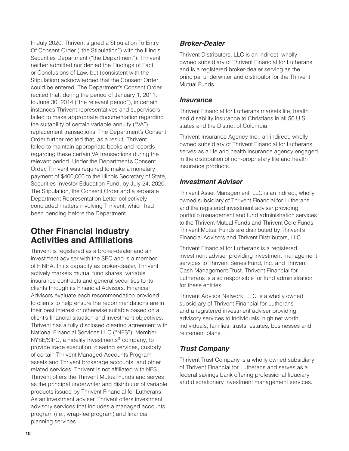In July 2020, Thrivent signed a Stipulation To Entry Of Consent Order ("the Stipulation") with the Illinois Securities Department ("the Department"). Thrivent neither admitted nor denied the Findings of Fact or Conclusions of Law, but (consistent with the Stipulation) acknowledged that the Consent Order could be entered. The Department's Consent Order recited that, during the period of January 1, 2011, to June 30, 2014 ("the relevant period"), in certain instances Thrivent representatives and supervisors failed to make appropriate documentation regarding the suitability of certain variable annuity ("VA") replacement transactions. The Department's Consent Order further recited that, as a result, Thrivent failed to maintain appropriate books and records regarding these certain VA transactions during the relevant period. Under the Department's Consent Order, Thrivent was required to make a monetary payment of \$400,000 to the Illinois Secretary of State, Securities Investor Education Fund, by July 24, 2020. The Stipulation, the Consent Order and a separate Department Representation Letter collectively concluded matters involving Thrivent, which had been pending before the Department.

## **Other Financial Industry Activities and Affiliations**

Thrivent is registered as a broker-dealer and an investment adviser with the SEC and is a member of FINRA. In its capacity as broker-dealer, Thrivent actively markets mutual fund shares, variable insurance contracts and general securities to its clients through its Financial Advisors. Financial Advisors evaluate each recommendation provided to clients to help ensure the recommendations are in their best interest or otherwise suitable based on a client's financial situation and investment objectives. Thrivent has a fully disclosed clearing agreement with National Financial Services LLC ("NFS"), Member NYSE/SIPC, a Fidelity Investments® company, to provide trade execution, clearing services, custody of certain Thrivent Managed Accounts Program assets and Thrivent brokerage accounts, and other related services. Thrivent is not affiliated with NFS. Thrivent offers the Thrivent Mutual Funds and serves as the principal underwriter and distributor of variable products issued by Thrivent Financial for Lutherans. As an investment adviser, Thrivent offers investment advisory services that includes a managed accounts program (i.e., wrap-fee program) and financial planning services.

## *Broker-Dealer*

Thrivent Distributors, LLC is an indirect, wholly owned subsidiary of Thrivent Financial for Lutherans and is a registered broker-dealer serving as the principal underwriter and distributor for the Thrivent Mutual Funds.

#### *Insurance*

Thrivent Financial for Lutherans markets life, health and disability insurance to Christians in all 50 U.S. states and the District of Columbia.

Thrivent Insurance Agency Inc., an indirect, wholly owned subsidiary of Thrivent Financial for Lutherans, serves as a life and health insurance agency engaged in the distribution of non-proprietary life and health insurance products.

#### *Investment Adviser*

Thrivent Asset Management, LLC is an indirect, wholly owned subsidiary of Thrivent Financial for Lutherans and the registered investment adviser providing portfolio management and fund administration services to the Thrivent Mutual Funds and Thrivent Core Funds. Thrivent Mutual Funds are distributed by Thrivent's Financial Advisors and Thrivent Distributors, LLC.

Thrivent Financial for Lutherans is a registered investment adviser providing investment management services to Thrivent Series Fund, Inc. and Thrivent Cash Management Trust. Thrivent Financial for Lutherans is also responsible for fund administration for these entities.

Thrivent Advisor Network, LLC is a wholly owned subsidiary of Thrivent Financial for Lutherans and a registered investment adviser providing advisory services to individuals, high net worth individuals, families, trusts, estates, businesses and retirement plans.

## *Trust Company*

Thrivent Trust Company is a wholly owned subsidiary of Thrivent Financial for Lutherans and serves as a federal savings bank offering professional fiduciary and discretionary investment management services.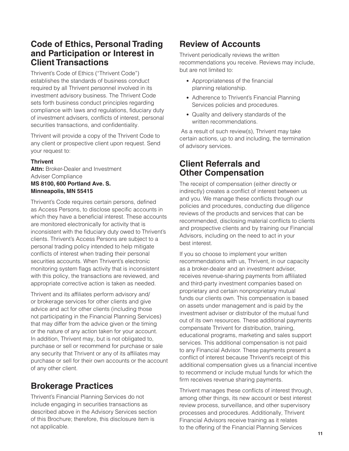## **Code of Ethics, Personal Trading and Participation or Interest in Client Transactions**

Thrivent's Code of Ethics ("Thrivent Code") establishes the standards of business conduct required by all Thrivent personnel involved in its investment advisory business. The Thrivent Code sets forth business conduct principles regarding compliance with laws and regulations, fiduciary duty of investment advisers, conflicts of interest, personal securities transactions, and confidentiality.

Thrivent will provide a copy of the Thrivent Code to any client or prospective client upon request. Send your request to:

#### **Thrivent**

**Attn:** Broker-Dealer and Investment Adviser Compliance **MS 8100, 600 Portland Ave. S. Minneapolis, MN 55415**

Thrivent's Code requires certain persons, defined as Access Persons, to disclose specific accounts in which they have a beneficial interest. These accounts are monitored electronically for activity that is inconsistent with the fiduciary duty owed to Thrivent's clients. Thrivent's Access Persons are subject to a personal trading policy intended to help mitigate conflicts of interest when trading their personal securities accounts. When Thrivent's electronic monitoring system flags activity that is inconsistent with this policy, the transactions are reviewed, and appropriate corrective action is taken as needed.

Thrivent and its affiliates perform advisory and/ or brokerage services for other clients and give advice and act for other clients (including those not participating in the Financial Planning Services) that may differ from the advice given or the timing or the nature of any action taken for your account. In addition, Thrivent may, but is not obligated to, purchase or sell or recommend for purchase or sale any security that Thrivent or any of its affiliates may purchase or sell for their own accounts or the account of any other client.

## **Brokerage Practices**

Thrivent's Financial Planning Services do not include engaging in securities transactions as described above in the Advisory Services section of this Brochure; therefore, this disclosure item is not applicable.

## **Review of Accounts**

Thrivent periodically reviews the written recommendations you receive. Reviews may include, but are not limited to:

- Appropriateness of the financial planning relationship.
- Adherence to Thrivent's Financial Planning Services policies and procedures.
- Quality and delivery standards of the written recommendations.

 As a result of such review(s), Thrivent may take certain actions, up to and including, the termination of advisory services.

## **Client Referrals and Other Compensation**

The receipt of compensation (either directly or indirectly) creates a conflict of interest between us and you. We manage these conflicts through our policies and procedures, conducting due diligence reviews of the products and services that can be recommended, disclosing material conflicts to clients and prospective clients and by training our Financial Advisors, including on the need to act in your best interest.

If you so choose to implement your written recommendations with us, Thrivent, in our capacity as a broker-dealer and an investment adviser, receives revenue-sharing payments from affiliated and third-party investment companies based on proprietary and certain nonproprietary mutual funds our clients own. This compensation is based on assets under management and is paid by the investment adviser or distributor of the mutual fund out of its own resources. These additional payments compensate Thrivent for distribution, training, educational programs, marketing and sales support services. This additional compensation is not paid to any Financial Advisor. These payments present a conflict of interest because Thrivent's receipt of this additional compensation gives us a financial incentive to recommend or include mutual funds for which the firm receives revenue sharing payments.

Thrivent manages these conflicts of interest through, among other things, its new account or best interest review process, surveillance, and other supervisory processes and procedures. Additionally, Thrivent Financial Advisors receive training as it relates to the offering of the Financial Planning Services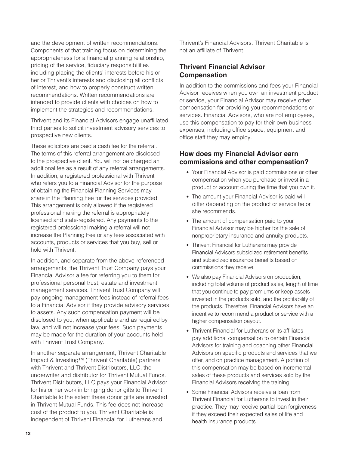and the development of written recommendations. Components of that training focus on determining the appropriateness for a financial planning relationship, pricing of the service, fiduciary responsibilities including placing the clients' interests before his or her or Thrivent's interests and disclosing all conflicts of interest, and how to properly construct written recommendations. Written recommendations are intended to provide clients with choices on how to implement the strategies and recommendations.

Thrivent and its Financial Advisors engage unaffiliated third parties to solicit investment advisory services to prospective new clients.

These solicitors are paid a cash fee for the referral. The terms of this referral arrangement are disclosed to the prospective client. You will not be charged an additional fee as a result of any referral arrangements. In addition, a registered professional with Thrivent who refers you to a Financial Advisor for the purpose of obtaining the Financial Planning Services may share in the Planning Fee for the services provided. This arrangement is only allowed if the registered professional making the referral is appropriately licensed and state-registered. Any payments to the registered professional making a referral will not increase the Planning Fee or any fees associated with accounts, products or services that you buy, sell or hold with Thrivent.

In addition, and separate from the above-referenced arrangements, the Thrivent Trust Company pays your Financial Advisor a fee for referring you to them for professional personal trust, estate and investment management services. Thrivent Trust Company will pay ongoing management fees instead of referral fees to a Financial Advisor if they provide advisory services to assets. Any such compensation payment will be disclosed to you, when applicable and as required by law, and will not increase your fees. Such payments may be made for the duration of your accounts held with Thrivent Trust Company.

In another separate arrangement, Thrivent Charitable Impact & Investing™ (Thrivent Charitable) partners with Thrivent and Thrivent Distributors, LLC, the underwriter and distributor for Thrivent Mutual Funds. Thrivent Distributors, LLC pays your Financial Advisor for his or her work in bringing donor gifts to Thrivent Charitable to the extent these donor gifts are invested in Thrivent Mutual Funds. This fee does not increase cost of the product to you. Thrivent Charitable is independent of Thrivent Financial for Lutherans and

Thrivent's Financial Advisors. Thrivent Charitable is not an affiliate of Thrivent.

## **Thrivent Financial Advisor Compensation**

In addition to the commissions and fees your Financial Advisor receives when you own an investment product or service, your Financial Advisor may receive other compensation for providing you recommendations or services. Financial Advisors, who are not employees, use this compensation to pay for their own business expenses, including office space, equipment and office staff they may employ.

#### **How does my Financial Advisor earn commissions and other compensation?**

- Your Financial Advisor is paid commissions or other compensation when you purchase or invest in a product or account during the time that you own it.
- The amount your Financial Advisor is paid will differ depending on the product or service he or she recommends.
- The amount of compensation paid to your Financial Advisor may be higher for the sale of nonproprietary insurance and annuity products.
- Thrivent Financial for Lutherans may provide Financial Advisors subsidized retirement benefits and subsidized insurance benefits based on commissions they receive.
- We also pay Financial Advisors on production, including total volume of product sales, length of time that you continue to pay premiums or keep assets invested in the products sold, and the profitability of the products. Therefore, Financial Advisors have an incentive to recommend a product or service with a higher compensation payout.
- Thrivent Financial for Lutherans or its affiliates pay additional compensation to certain Financial Advisors for training and coaching other Financial Advisors on specific products and services that we offer, and on practice management. A portion of this compensation may be based on incremental sales of these products and services sold by the Financial Advisors receiving the training.
- Some Financial Advisors receive a loan from Thrivent Financial for Lutherans to invest in their practice. They may receive partial loan forgiveness if they exceed their expected sales of life and health insurance products.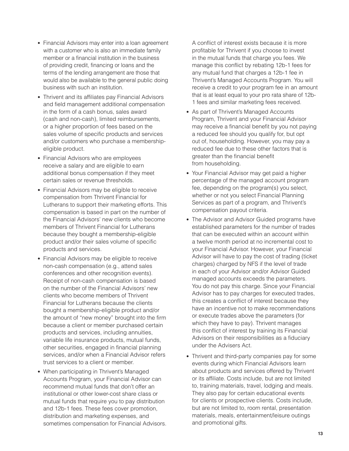- Financial Advisors may enter into a loan agreement with a customer who is also an immediate family member or a financial institution in the business of providing credit, financing or loans and the terms of the lending arrangement are those that would also be available to the general public doing business with such an institution.
- Thrivent and its affiliates pay Financial Advisors and field management additional compensation in the form of a cash bonus, sales award (cash and non-cash), limited reimbursements, or a higher proportion of fees based on the sales volume of specific products and services and/or customers who purchase a membershipeligible product.
- Financial Advisors who are employees receive a salary and are eligible to earn additional bonus compensation if they meet certain sales or revenue thresholds.
- Financial Advisors may be eligible to receive compensation from Thrivent Financial for Lutherans to support their marketing efforts. This compensation is based in part on the number of the Financial Advisors' new clients who become members of Thrivent Financial for Lutherans because they bought a membership-eligible product and/or their sales volume of specific products and services.
- Financial Advisors may be eligible to receive non-cash compensation (e.g., attend sales conferences and other recognition events). Receipt of non-cash compensation is based on the number of the Financial Advisors' new clients who become members of Thrivent Financial for Lutherans because the clients bought a membership-eligible product and/or the amount of "new money" brought into the firm because a client or member purchased certain products and services, including annuities, variable life insurance products, mutual funds, other securities, engaged in financial planning services, and/or when a Financial Advisor refers trust services to a client or member.
- When participating in Thrivent's Managed Accounts Program, your Financial Advisor can recommend mutual funds that don't offer an institutional or other lower-cost share class or mutual funds that require you to pay distribution and 12b-1 fees. These fees cover promotion, distribution and marketing expenses, and sometimes compensation for Financial Advisors.

A conflict of interest exists because it is more profitable for Thrivent if you choose to invest in the mutual funds that charge you fees. We manage this conflict by rebating 12b-1 fees for any mutual fund that charges a 12b-1 fee in Thrivent's Managed Accounts Program. You will receive a credit to your program fee in an amount that is at least equal to your pro rata share of 12b-1 fees and similar marketing fees received.

- As part of Thrivent's Managed Accounts Program, Thrivent and your Financial Advisor may receive a financial benefit by you not paying a reduced fee should you qualify for, but opt out of, householding. However, you may pay a reduced fee due to these other factors that is greater than the financial benefit from householding.
- Your Financial Advisor may get paid a higher percentage of the managed account program fee, depending on the program(s) you select, whether or not you select Financial Planning Services as part of a program, and Thrivent's compensation payout criteria.
- The Advisor and Advisor Guided programs have established parameters for the number of trades that can be executed within an account within a twelve month period at no incremental cost to your Financial Advisor. However, your Financial Advisor will have to pay the cost of trading (ticket charges) charged by NFS if the level of trade in each of your Advisor and/or Advisor Guided managed accounts exceeds the parameters. You do not pay this charge. Since your Financial Advisor has to pay charges for executed trades, this creates a conflict of interest because they have an incentive not to make recommendations or execute trades above the parameters (for which they have to pay). Thrivent manages this conflict of interest by training its Financial Advisors on their responsibilities as a fiduciary under the Advisers Act.
- Thrivent and third-party companies pay for some events during which Financial Advisors learn about products and services offered by Thrivent or its affiliate. Costs include, but are not limited to, training materials, travel, lodging and meals. They also pay for certain educational events for clients or prospective clients. Costs include, but are not limited to, room rental, presentation materials, meals, entertainment/leisure outings and promotional gifts.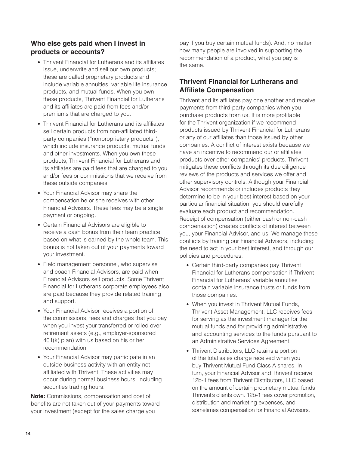## **Who else gets paid when I invest in products or accounts?**

- Thrivent Financial for Lutherans and its affiliates issue, underwrite and sell our own products; these are called proprietary products and include variable annuities, variable life insurance products, and mutual funds. When you own these products, Thrivent Financial for Lutherans and its affiliates are paid from fees and/or premiums that are charged to you.
- Thrivent Financial for Lutherans and its affiliates sell certain products from non-affiliated thirdparty companies ("nonproprietary products"), which include insurance products, mutual funds and other investments. When you own these products, Thrivent Financial for Lutherans and its affiliates are paid fees that are charged to you and/or fees or commissions that we receive from these outside companies.
- Your Financial Advisor may share the compensation he or she receives with other Financial Advisors. These fees may be a single payment or ongoing.
- Certain Financial Advisors are eligible to receive a cash bonus from their team practice based on what is earned by the whole team. This bonus is not taken out of your payments toward your investment.
- Field management personnel, who supervise and coach Financial Advisors, are paid when Financial Advisors sell products. Some Thrivent Financial for Lutherans corporate employees also are paid because they provide related training and support.
- Your Financial Advisor receives a portion of the commissions, fees and charges that you pay when you invest your transferred or rolled over retirement assets (e.g., employer-sponsored 401(k) plan) with us based on his or her recommendation.
- Your Financial Advisor may participate in an outside business activity with an entity not affiliated with Thrivent. These activities may occur during normal business hours, including securities trading hours.

**Note:** Commissions, compensation and cost of benefits are not taken out of your payments toward your investment (except for the sales charge you

pay if you buy certain mutual funds). And, no matter how many people are involved in supporting the recommendation of a product, what you pay is the same.

## **Thrivent Financial for Lutherans and Affiliate Compensation**

Thrivent and its affiliates pay one another and receive payments from third-party companies when you purchase products from us. It is more profitable for the Thrivent organization if we recommend products issued by Thrivent Financial for Lutherans or any of our affiliates than those issued by other companies. A conflict of interest exists because we have an incentive to recommend our or affiliates products over other companies' products. Thrivent mitigates these conflicts through its due diligence reviews of the products and services we offer and other supervisory controls. Although your Financial Advisor recommends or includes products they determine to be in your best interest based on your particular financial situation, you should carefully evaluate each product and recommendation. Receipt of compensation (either cash or non-cash compensation) creates conflicts of interest between you, your Financial Advisor, and us. We manage these conflicts by training our Financial Advisors, including the need to act in your best interest, and through our policies and procedures.

- Certain third-party companies pay Thrivent Financial for Lutherans compensation if Thrivent Financial for Lutherans' variable annuities contain variable insurance trusts or funds from those companies.
- When you invest in Thrivent Mutual Funds, Thrivent Asset Management, LLC receives fees for serving as the investment manager for the mutual funds and for providing administrative and accounting services to the funds pursuant to an Administrative Services Agreement.
- Thrivent Distributors, LLC retains a portion of the total sales charge received when you buy Thrivent Mutual Fund Class A shares. In turn, your Financial Advisor and Thrivent receive 12b-1 fees from Thrivent Distributors, LLC based on the amount of certain proprietary mutual funds Thrivent's clients own. 12b-1 fees cover promotion, distribution and marketing expenses, and sometimes compensation for Financial Advisors.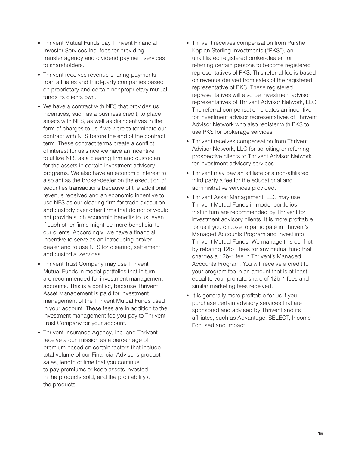- Thrivent Mutual Funds pay Thrivent Financial Investor Services Inc. fees for providing transfer agency and dividend payment services to shareholders.
- Thrivent receives revenue-sharing payments from affiliates and third-party companies based on proprietary and certain nonproprietary mutual funds its clients own.
- We have a contract with NFS that provides us incentives, such as a business credit, to place assets with NFS, as well as disincentives in the form of charges to us if we were to terminate our contract with NFS before the end of the contract term. These contract terms create a conflict of interest for us since we have an incentive to utilize NFS as a clearing firm and custodian for the assets in certain investment advisory programs. We also have an economic interest to also act as the broker-dealer on the execution of securities transactions because of the additional revenue received and an economic incentive to use NFS as our clearing firm for trade execution and custody over other firms that do not or would not provide such economic benefits to us, even if such other firms might be more beneficial to our clients. Accordingly, we have a financial incentive to serve as an introducing brokerdealer and to use NFS for clearing, settlement and custodial services.
- Thrivent Trust Company may use Thrivent Mutual Funds in model portfolios that in turn are recommended for investment management accounts. This is a conflict, because Thrivent Asset Management is paid for investment management of the Thrivent Mutual Funds used in your account. These fees are in addition to the investment management fee you pay to Thrivent Trust Company for your account.
- Thrivent Insurance Agency, Inc. and Thrivent receive a commission as a percentage of premium based on certain factors that include total volume of our Financial Advisor's product sales, length of time that you continue to pay premiums or keep assets invested in the products sold, and the profitability of the products.
- Thrivent receives compensation from Purshe Kaplan Sterling Investments ("PKS"), an unaffiliated registered broker-dealer, for referring certain persons to become registered representatives of PKS. This referral fee is based on revenue derived from sales of the registered representative of PKS. These registered representatives will also be investment advisor representatives of Thrivent Advisor Network, LLC. The referral compensation creates an incentive for investment advisor representatives of Thrivent Advisor Network who also register with PKS to use PKS for brokerage services.
- Thrivent receives compensation from Thrivent Advisor Network, LLC for soliciting or referring prospective clients to Thrivent Advisor Network for investment advisory services.
- Thrivent may pay an affiliate or a non-affiliated third party a fee for the educational and administrative services provided.
- Thrivent Asset Management, LLC may use Thrivent Mutual Funds in model portfolios that in turn are recommended by Thrivent for investment advisory clients. It is more profitable for us if you choose to participate in Thrivent's Managed Accounts Program and invest into Thrivent Mutual Funds. We manage this conflict by rebating 12b-1 fees for any mutual fund that charges a 12b-1 fee in Thrivent's Managed Accounts Program. You will receive a credit to your program fee in an amount that is at least equal to your pro rata share of 12b-1 fees and similar marketing fees received.
- It is generally more profitable for us if you purchase certain advisory services that are sponsored and advised by Thrivent and its affiliates, such as Advantage, SELECT, Income-Focused and Impact.